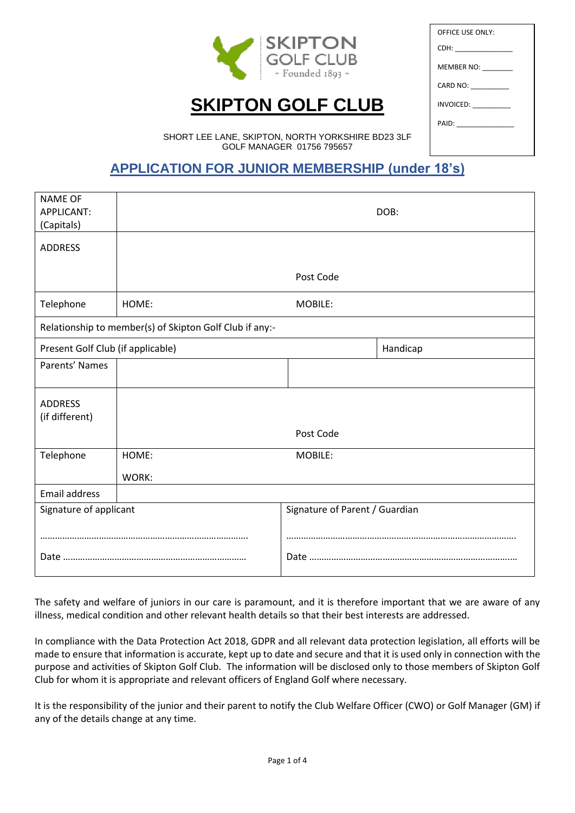

# **SKIPTON GOLF CLUB**

| OFFICE USE ONLY:             |  |
|------------------------------|--|
| CDH: _________________       |  |
| MEMBER NO: _________         |  |
| CARD NO: _________           |  |
| <b>INVOICED:</b> ___________ |  |
| PAID: ______________         |  |
|                              |  |
|                              |  |

SHORT LEE LANE, SKIPTON, NORTH YORKSHIRE BD23 3LF GOLF MANAGER 01756 795657

## **APPLICATION FOR JUNIOR MEMBERSHIP (under 18's)**

| <b>NAME OF</b><br>APPLICANT:<br>(Capitals) |                                                         |                                | DOB: |  |
|--------------------------------------------|---------------------------------------------------------|--------------------------------|------|--|
| <b>ADDRESS</b>                             |                                                         |                                |      |  |
|                                            |                                                         | Post Code                      |      |  |
| Telephone                                  | HOME:                                                   | MOBILE:                        |      |  |
|                                            | Relationship to member(s) of Skipton Golf Club if any:- |                                |      |  |
|                                            | Present Golf Club (if applicable)<br>Handicap           |                                |      |  |
| Parents' Names                             |                                                         |                                |      |  |
| <b>ADDRESS</b><br>(if different)           |                                                         |                                |      |  |
|                                            |                                                         | Post Code                      |      |  |
| Telephone                                  | HOME:                                                   | MOBILE:                        |      |  |
|                                            | WORK:                                                   |                                |      |  |
| <b>Email address</b>                       |                                                         |                                |      |  |
| Signature of applicant                     |                                                         | Signature of Parent / Guardian |      |  |
|                                            |                                                         |                                |      |  |
|                                            |                                                         |                                |      |  |

The safety and welfare of juniors in our care is paramount, and it is therefore important that we are aware of any illness, medical condition and other relevant health details so that their best interests are addressed.

In compliance with the Data Protection Act 2018, GDPR and all relevant data protection legislation, all efforts will be made to ensure that information is accurate, kept up to date and secure and that it is used only in connection with the purpose and activities of Skipton Golf Club. The information will be disclosed only to those members of Skipton Golf Club for whom it is appropriate and relevant officers of England Golf where necessary.

It is the responsibility of the junior and their parent to notify the Club Welfare Officer (CWO) or Golf Manager (GM) if any of the details change at any time.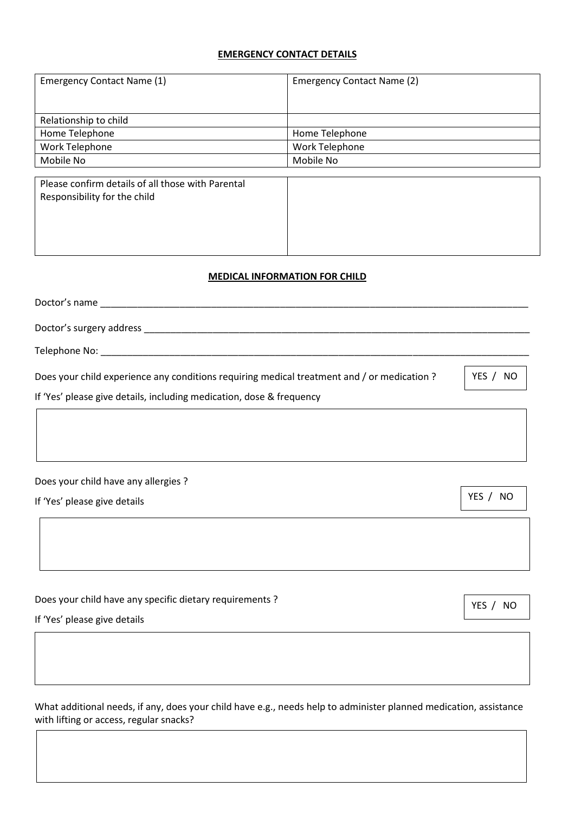#### **EMERGENCY CONTACT DETAILS**

| Emergency Contact Name (1) | Emergency Contact Name (2) |  |
|----------------------------|----------------------------|--|
|                            |                            |  |
|                            |                            |  |
| Relationship to child      |                            |  |
| Home Telephone             | Home Telephone             |  |
| Work Telephone             | Work Telephone             |  |
| Mobile No                  | Mobile No                  |  |

| Please confirm details of all those with Parental |  |
|---------------------------------------------------|--|
| Responsibility for the child                      |  |
|                                                   |  |

### **MEDICAL INFORMATION FOR CHILD**

| Doctor's name                                                                               |              |
|---------------------------------------------------------------------------------------------|--------------|
| Doctor's surgery address                                                                    |              |
| Telephone No: _______________                                                               |              |
| Does your child experience any conditions requiring medical treatment and / or medication ? | YES /<br>NO. |
| If 'Yes' please give details, including medication, dose & frequency                        |              |
|                                                                                             |              |
|                                                                                             |              |
|                                                                                             |              |

Does your child have any allergies ?

If 'Yes' please give details

Does your child have any specific dietary requirements ?

If 'Yes' please give details

What additional needs, if any, does your child have e.g., needs help to administer planned medication, assistance with lifting or access, regular snacks?

YES / NO

YES / NO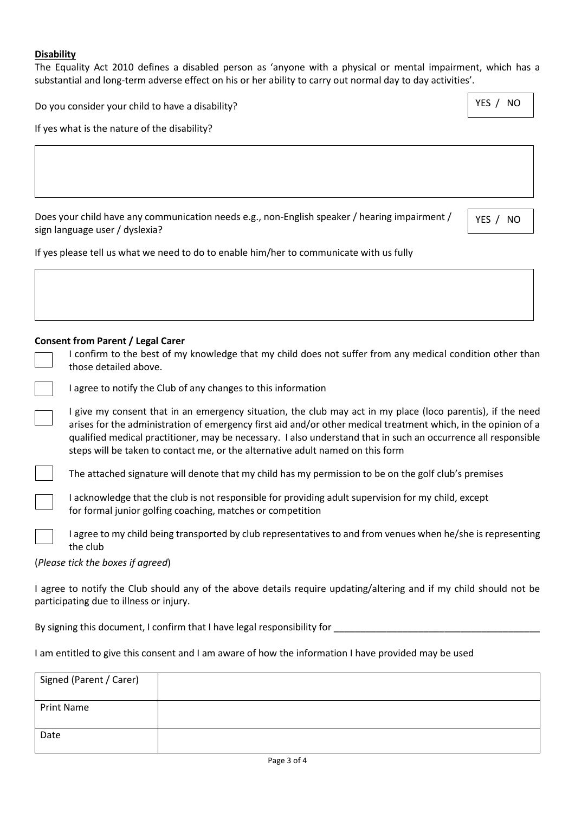#### **Disability**

The Equality Act 2010 defines a disabled person as 'anyone with a physical or mental impairment, which has a substantial and long-term adverse effect on his or her ability to carry out normal day to day activities'.

| Do you consider your child to have a disability? | YES / NO |
|--------------------------------------------------|----------|
|--------------------------------------------------|----------|

If yes what is the nature of the disability?

| Does your child have any communication needs e.g., non-English speaker / hearing impairment / |  |
|-----------------------------------------------------------------------------------------------|--|
| sign language user / dyslexia?                                                                |  |

YES / NO

If yes please tell us what we need to do to enable him/her to communicate with us fully

#### **Consent from Parent / Legal Carer**

| I confirm to the best of my knowledge that my child does not suffer from any medical condition other than |
|-----------------------------------------------------------------------------------------------------------|
| those detailed above.                                                                                     |

| I agree to notify the Club of any changes to this information |  |  |
|---------------------------------------------------------------|--|--|
|                                                               |  |  |

I give my consent that in an emergency situation, the club may act in my place (loco parentis), if the need arises for the administration of emergency first aid and/or other medical treatment which, in the opinion of a qualified medical practitioner, may be necessary. I also understand that in such an occurrence all responsible steps will be taken to contact me, or the alternative adult named on this form

The attached signature will denote that my child has my permission to be on the golf club's premises



I agree to my child being transported by club representatives to and from venues when he/she is representing the club

#### (*Please tick the boxes if agreed*)

I agree to notify the Club should any of the above details require updating/altering and if my child should not be participating due to illness or injury.

By signing this document, I confirm that I have legal responsibility for \_\_\_\_\_\_\_\_\_\_\_\_\_\_\_\_\_\_\_\_\_\_\_\_\_\_\_\_\_\_\_\_\_\_\_\_\_\_\_

I am entitled to give this consent and I am aware of how the information I have provided may be used

| Signed (Parent / Carer) |  |
|-------------------------|--|
|                         |  |
| <b>Print Name</b>       |  |
|                         |  |
|                         |  |
| Date                    |  |
|                         |  |
|                         |  |